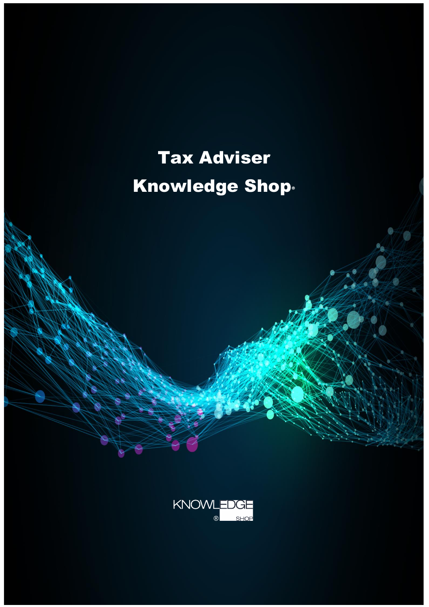# Tax Adviser Knowledge Shop**®**

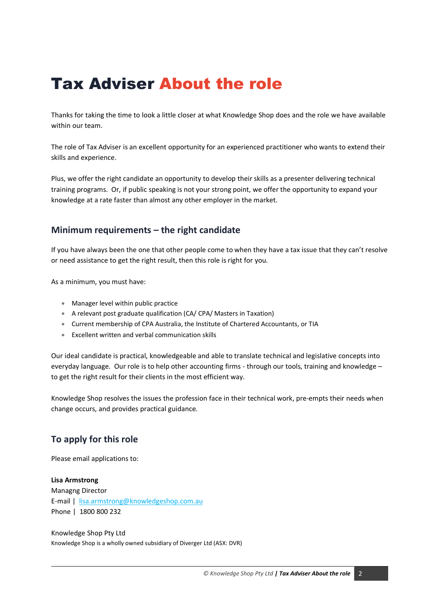# Tax Adviser About the role

Thanks for taking the time to look a little closer at what Knowledge Shop does and the role we have available within our team.

The role of Tax Adviser is an excellent opportunity for an experienced practitioner who wants to extend their skills and experience.

Plus, we offer the right candidate an opportunity to develop their skills as a presenter delivering technical training programs. Or, if public speaking is not your strong point, we offer the opportunity to expand your knowledge at a rate faster than almost any other employer in the market.

## **Minimum requirements – the right candidate**

If you have always been the one that other people come to when they have a tax issue that they can't resolve or need assistance to get the right result, then this role is right for you.

As a minimum, you must have:

- Manager level within public practice
- A relevant post graduate qualification (CA/ CPA/ Masters in Taxation)
- Current membership of CPA Australia, the Institute of Chartered Accountants, or TIA
- Excellent written and verbal communication skills

Our ideal candidate is practical, knowledgeable and able to translate technical and legislative concepts into everyday language. Our role is to help other accounting firms - through our tools, training and knowledge – to get the right result for their clients in the most efficient way.

Knowledge Shop resolves the issues the profession face in their technical work, pre-empts their needs when change occurs, and provides practical guidance.

# **To apply for this role**

Please email applications to:

#### **Lisa Armstrong**

Managng Director E-mail | [lisa.armstrong@knowledgeshop.com.au](mailto:Michael.carruthers@knowledgeshop.com.au) Phone | 1800 800 232

Knowledge Shop Pty Ltd Knowledge Shop is a wholly owned subsidiary of Diverger Ltd (ASX: DVR)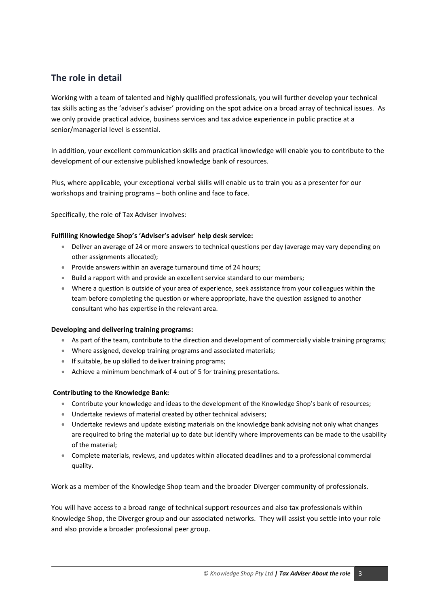# **The role in detail**

Working with a team of talented and highly qualified professionals, you will further develop your technical tax skills acting as the 'adviser's adviser' providing on the spot advice on a broad array of technical issues. As we only provide practical advice, business services and tax advice experience in public practice at a senior/managerial level is essential.

In addition, your excellent communication skills and practical knowledge will enable you to contribute to the development of our extensive published knowledge bank of resources.

Plus, where applicable, your exceptional verbal skills will enable us to train you as a presenter for our workshops and training programs – both online and face to face.

Specifically, the role of Tax Adviser involves:

#### **Fulfilling Knowledge Shop's 'Adviser's adviser' help desk service:**

- Deliver an average of 24 or more answers to technical questions per day (average may vary depending on other assignments allocated);
- Provide answers within an average turnaround time of 24 hours;
- Build a rapport with and provide an excellent service standard to our members;
- Where a question is outside of your area of experience, seek assistance from your colleagues within the team before completing the question or where appropriate, have the question assigned to another consultant who has expertise in the relevant area.

#### **Developing and delivering training programs:**

- As part of the team, contribute to the direction and development of commercially viable training programs;
- Where assigned, develop training programs and associated materials;
- If suitable, be up skilled to deliver training programs;
- Achieve a minimum benchmark of 4 out of 5 for training presentations.

#### **Contributing to the Knowledge Bank:**

- Contribute your knowledge and ideas to the development of the Knowledge Shop's bank of resources;
- Undertake reviews of material created by other technical advisers;
- Undertake reviews and update existing materials on the knowledge bank advising not only what changes are required to bring the material up to date but identify where improvements can be made to the usability of the material;
- Complete materials, reviews, and updates within allocated deadlines and to a professional commercial quality.

Work as a member of the Knowledge Shop team and the broader Diverger community of professionals.

You will have access to a broad range of technical support resources and also tax professionals within Knowledge Shop, the Diverger group and our associated networks. They will assist you settle into your role and also provide a broader professional peer group.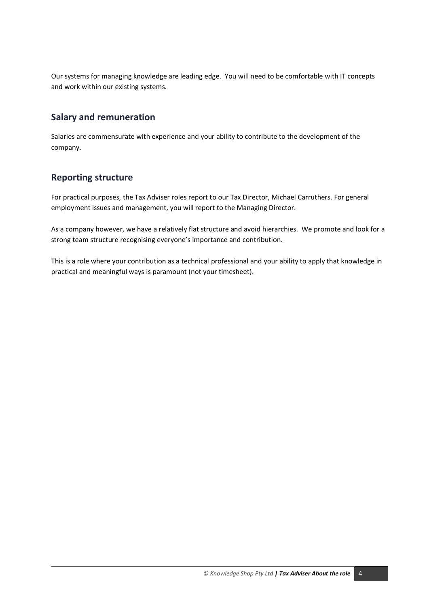Our systems for managing knowledge are leading edge. You will need to be comfortable with IT concepts and work within our existing systems.

# **Salary and remuneration**

Salaries are commensurate with experience and your ability to contribute to the development of the company.

## **Reporting structure**

For practical purposes, the Tax Adviser roles report to our Tax Director, Michael Carruthers. For general employment issues and management, you will report to the Managing Director.

As a company however, we have a relatively flat structure and avoid hierarchies. We promote and look for a strong team structure recognising everyone's importance and contribution.

This is a role where your contribution as a technical professional and your ability to apply that knowledge in practical and meaningful ways is paramount (not your timesheet).